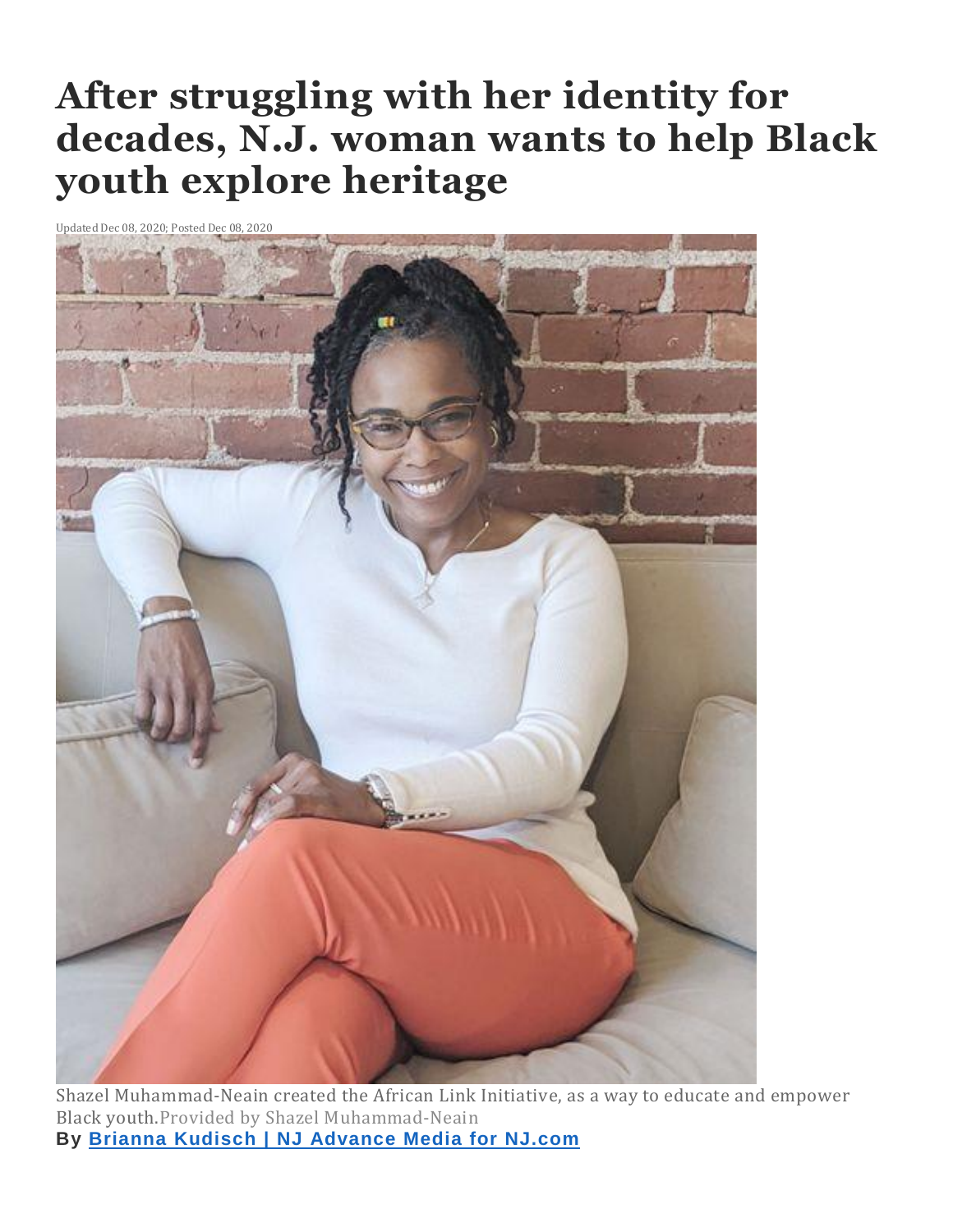## **After struggling with her identity for decades, N.J. woman wants to help Black youth explore heritage**

Updated Dec 08, 2020; Posted Dec 08, 2020



Shazel Muhammad-Neain created the African Link Initiative, as a way to educate and empower Black youth.Provided by Shazel Muhammad-Neain **By Brianna Kudisch | NJ [Advance](http://connect.nj.com/staff/bkudisch/posts.html) Media for NJ.com**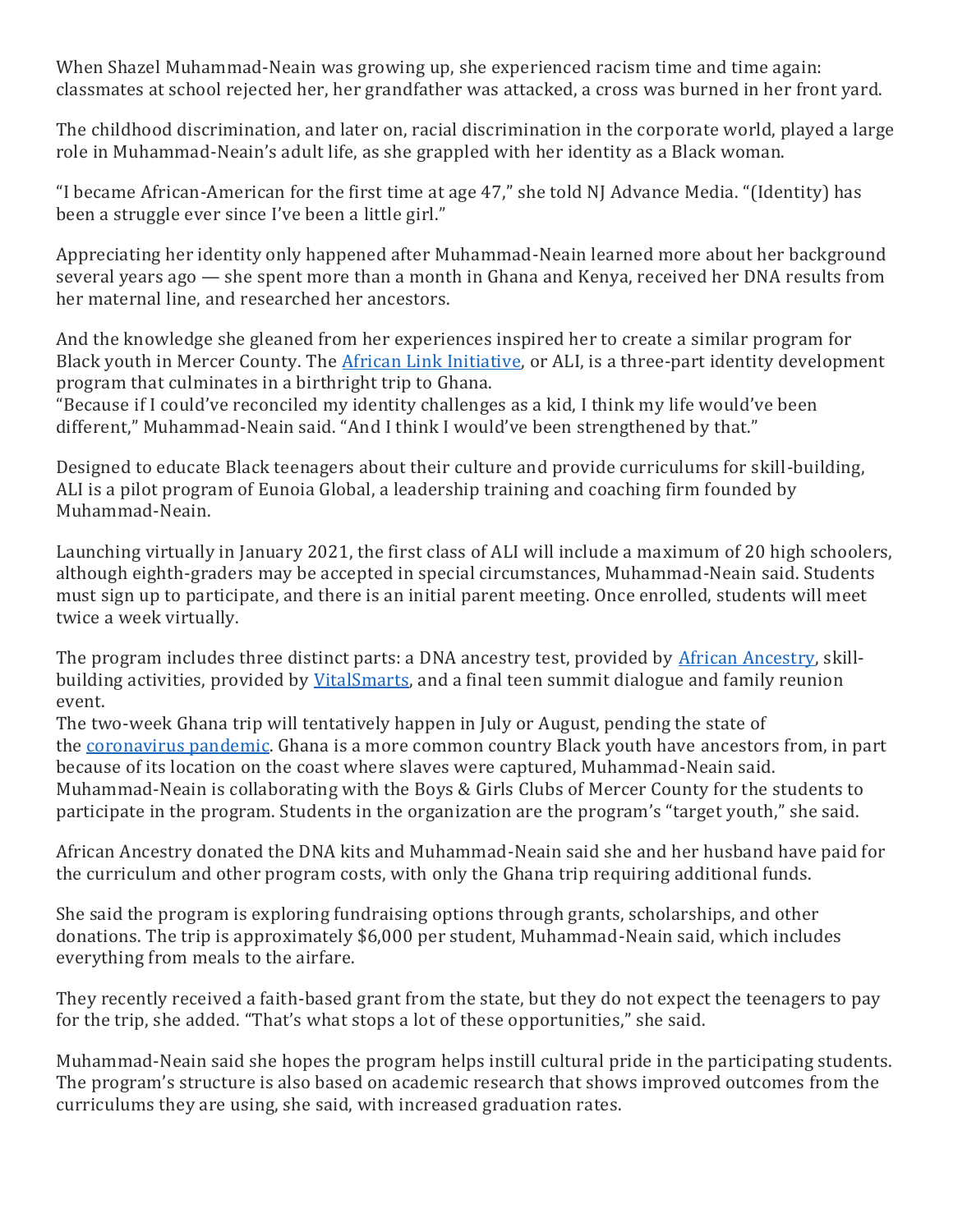When Shazel Muhammad-Neain was growing up, she experienced racism time and time again: classmates at school rejected her, her grandfather was attacked, a cross was burned in her front yard.

The childhood discrimination, and later on, racial discrimination in the corporate world, played a large role in Muhammad-Neain's adult life, as she grappled with her identity as a Black woman.

"I became African-American for the first time at age 47," she told NJ Advance Media. "(Identity) has been a struggle ever since I've been a little girl."

Appreciating her identity only happened after Muhammad-Neain learned more about her background several years ago — she spent more than a month in Ghana and Kenya, received her DNA results from her maternal line, and researched her ancestors.

And the knowledge she gleaned from her experiences inspired her to create a similar program for Black youth in Mercer County. The African Link [Initiative,](https://www.africanlink.org/) or ALI, is a three-part identity development program that culminates in a birthright trip to Ghana.

"Because if I could've reconciled my identity challenges as a kid, I think my life would've been different," Muhammad-Neain said. "And I think I would've been strengthened by that."

Designed to educate Black teenagers about their culture and provide curriculums for skill-building, ALI is a pilot program of Eunoia Global, a leadership training and coaching firm founded by Muhammad-Neain.

Launching virtually in January 2021, the first class of ALI will include a maximum of 20 high schoolers, although eighth-graders may be accepted in special circumstances, Muhammad-Neain said. Students must sign up to participate, and there is an initial parent meeting. Once enrolled, students will meet twice a week virtually.

The program includes three distinct parts: a DNA ancestry test, provided by African [Ancestry,](https://africanancestry.com/) skillbuilding activities, provided by [VitalSmarts,](https://www.vitalsmarts.com/) and a final teen summit dialogue and family reunion event.

The two-week Ghana trip will tentatively happen in July or August, pending the state of the [coronavirus](https://www.nj.com/coronavirus/) pandemic. Ghana is a more common country Black youth have ancestors from, in part because of its location on the coast where slaves were captured, Muhammad-Neain said. Muhammad-Neain is collaborating with the Boys & Girls Clubs of Mercer County for the students to participate in the program. Students in the organization are the program's "target youth," she said.

African Ancestry donated the DNA kits and Muhammad-Neain said she and her husband have paid for the curriculum and other program costs, with only the Ghana trip requiring additional funds.

She said the program is exploring fundraising options through grants, scholarships, and other donations. The trip is approximately \$6,000 per student, Muhammad-Neain said, which includes everything from meals to the airfare.

They recently received a faith-based grant from the state, but they do not expect the teenagers to pay for the trip, she added. "That's what stops a lot of these opportunities," she said.

Muhammad-Neain said she hopes the program helps instill cultural pride in the participating students. The program's structure is also based on academic research that shows improved outcomes from the curriculums they are using, she said, with increased graduation rates.